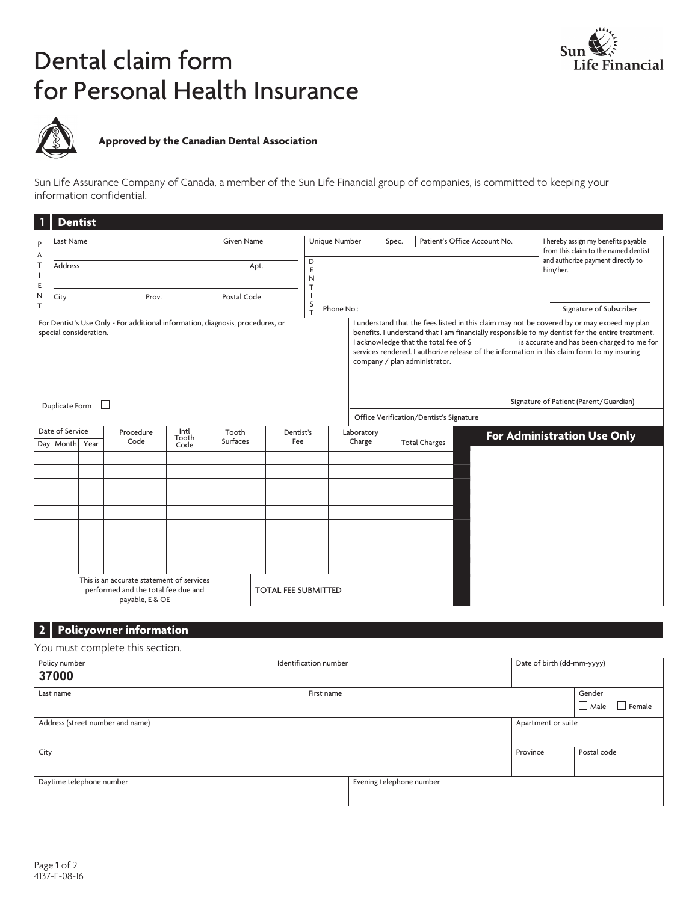# Dental claim form for Personal Health Insurance





# **Approved by the Canadian Dental Association**

Sun Life Assurance Company of Canada, a member of the Sun Life Financial group of companies, is committed to keeping your information confidential.

|                                          | <b>Dentist</b>                                                                                                                     |  |                                                                                                     |             |                                       |                                 |                                                                             |  |                                                                         |  |                                                                                                                                                                                                                                                                                                                                              |
|------------------------------------------|------------------------------------------------------------------------------------------------------------------------------------|--|-----------------------------------------------------------------------------------------------------|-------------|---------------------------------------|---------------------------------|-----------------------------------------------------------------------------|--|-------------------------------------------------------------------------|--|----------------------------------------------------------------------------------------------------------------------------------------------------------------------------------------------------------------------------------------------------------------------------------------------------------------------------------------------|
| <b>Given Name</b><br>Last Name<br>P<br>Α |                                                                                                                                    |  | Unique Number                                                                                       |             | Patient's Office Account No.<br>Spec. |                                 | I hereby assign my benefits payable<br>from this claim to the named dentist |  |                                                                         |  |                                                                                                                                                                                                                                                                                                                                              |
| T<br>J.<br>E                             | Address                                                                                                                            |  |                                                                                                     |             | Apt.                                  | D<br>Ε<br>N                     |                                                                             |  |                                                                         |  | and authorize payment directly to<br>him/her.                                                                                                                                                                                                                                                                                                |
| N<br>T                                   | City                                                                                                                               |  | Prov.                                                                                               | Postal Code |                                       | S<br>Phone No.:<br>$\mathbf{r}$ |                                                                             |  |                                                                         |  | Signature of Subscriber                                                                                                                                                                                                                                                                                                                      |
|                                          | special consideration.                                                                                                             |  | For Dentist's Use Only - For additional information, diagnosis, procedures, or                      |             |                                       |                                 |                                                                             |  | I acknowledge that the total fee of \$<br>company / plan administrator. |  | I understand that the fees listed in this claim may not be covered by or may exceed my plan<br>benefits. I understand that I am financially responsible to my dentist for the entire treatment.<br>is accurate and has been charged to me for<br>services rendered. I authorize release of the information in this claim form to my insuring |
|                                          | Duplicate Form                                                                                                                     |  | $\mathbf{I}$                                                                                        |             |                                       |                                 |                                                                             |  |                                                                         |  | Signature of Patient (Parent/Guardian)                                                                                                                                                                                                                                                                                                       |
|                                          |                                                                                                                                    |  |                                                                                                     |             |                                       |                                 |                                                                             |  | Office Verification/Dentist's Signature                                 |  |                                                                                                                                                                                                                                                                                                                                              |
|                                          | Date of Service<br>Intl<br>Procedure<br>Tooth<br>Dentist's<br>Tooth<br><b>Surfaces</b><br>Code<br>Fee<br>Day Month<br>Year<br>Code |  | Laboratory<br>Charge                                                                                |             | <b>Total Charges</b>                  |                                 | For Administration Use Only                                                 |  |                                                                         |  |                                                                                                                                                                                                                                                                                                                                              |
|                                          |                                                                                                                                    |  |                                                                                                     |             |                                       |                                 |                                                                             |  |                                                                         |  |                                                                                                                                                                                                                                                                                                                                              |
|                                          |                                                                                                                                    |  |                                                                                                     |             |                                       |                                 |                                                                             |  |                                                                         |  |                                                                                                                                                                                                                                                                                                                                              |
|                                          |                                                                                                                                    |  |                                                                                                     |             |                                       |                                 |                                                                             |  |                                                                         |  |                                                                                                                                                                                                                                                                                                                                              |
|                                          |                                                                                                                                    |  |                                                                                                     |             |                                       |                                 |                                                                             |  |                                                                         |  |                                                                                                                                                                                                                                                                                                                                              |
|                                          |                                                                                                                                    |  |                                                                                                     |             |                                       |                                 |                                                                             |  |                                                                         |  |                                                                                                                                                                                                                                                                                                                                              |
|                                          |                                                                                                                                    |  | This is an accurate statement of services<br>performed and the total fee due and<br>payable, E & OE |             | <b>TOTAL FEE SUBMITTED</b>            |                                 |                                                                             |  |                                                                         |  |                                                                                                                                                                                                                                                                                                                                              |

#### **2 Policyowner information**

#### You must complete this section.

| Policy number<br>37000           | Identification number |                          | Date of birth (dd-mm-yyyy) |                                 |
|----------------------------------|-----------------------|--------------------------|----------------------------|---------------------------------|
| Last name                        | First name            |                          |                            | Gender<br>$\Box$ Male<br>Female |
| Address (street number and name) |                       |                          | Apartment or suite         |                                 |
| City                             |                       |                          | Province                   | Postal code                     |
| Daytime telephone number         |                       | Evening telephone number |                            |                                 |